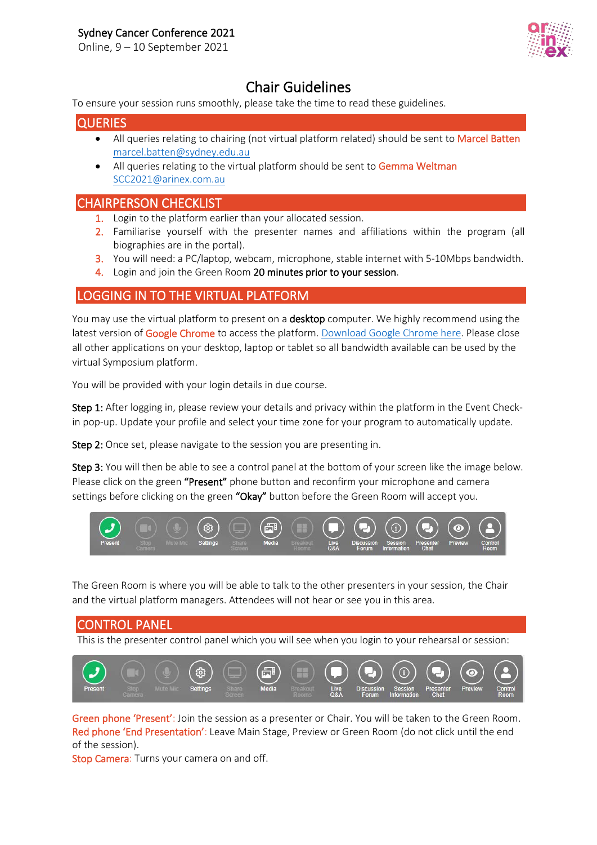Online, 9 – 10 September 2021



**Chair Guidelines**<br>To ensure your session runs smoothly, please take the time to read these guidelines.

### **QUERIES**

- All queries relating to chairing (not virtual platform related) should be sent to Marcel Batten [marcel.batten@sydney.edu.au](mailto:marcel.batten@sydney.edu.au)
- All queries relating to the virtual platform should be sent to Gemma Weltman [SCC2021@arinex.com.au](mailto:SCC2021@arinex.com.au)

## CHAIRPERSON CHECKLIST

- 1. Login to the platform earlier than your allocated session.
- 2. Familiarise yourself with the presenter names and affiliations within the program (all biographies are in the portal).
- 3. You will need: a PC/laptop, webcam, microphone, stable internet with 5-10Mbps bandwidth.
- 4. Login and join the Green Room 20 minutes prior to your session.

## LOGGING IN TO THE VIRTUAL PLATFORM

You may use the virtual platform to present on a desktop computer. We highly recommend using the latest version of Google Chrome to access the platform. [Download Google Chrome here.](https://support.google.com/chrome/answer/95346?co=GENIE.Platform%3DDesktop&hl=en) Please close all other applications on your desktop, laptop or tablet so all bandwidth available can be used by the virtual Symposium platform.

You will be provided with your login details in due course.

Step 1: After logging in, please review your details and privacy within the platform in the Event Checkin pop-up. Update your profile and select your time zone for your program to automatically update.

Step 2: Once set, please navigate to the session you are presenting in.

Step 3: You will then be able to see a control panel at the bottom of your screen like the image below. Please click on the green "Present" phone button and reconfirm your microphone and camera settings before clicking on the green "Okay" button before the Green Room will accept you.



The Green Room is where you will be able to talk to the other presenters in your session, the Chair and the virtual platform managers. Attendees will not hear or see you in this area.

CONTROL PANEL This is the presenter control panel which you will see when you login to your rehearsal or session:

Green phone 'Present': Join the session as a presenter or Chair. You will be taken to the Green Room. Red phone 'End Presentation': Leave Main Stage, Preview or Green Room (do not click until the end of the session).

Stop Camera: Turns your camera on and off.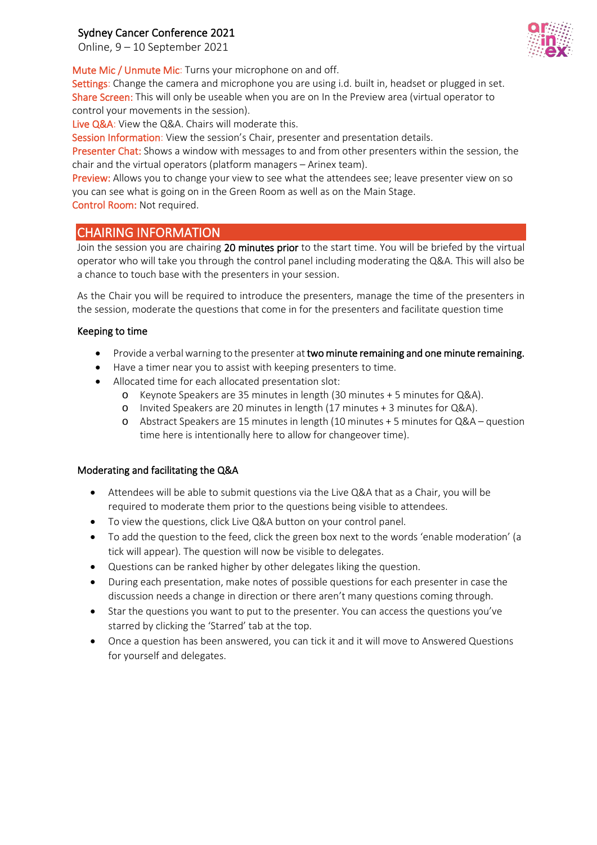## Sydney Cancer Conference 2021

Online, 9 – 10 September 2021

Mute Mic / Unmute Mic: Turns your microphone on and off.

Settings: Change the camera and microphone you are using i.d. built in, headset or plugged in set. Share Screen: This will only be useable when you are on In the Preview area (virtual operator to control your movements in the session).

Live Q&A: View the Q&A. Chairs will moderate this.

Session Information: View the session's Chair, presenter and presentation details.

Presenter Chat: Shows a window with messages to and from other presenters within the session, the chair and the virtual operators (platform managers – Arinex team).

Preview: Allows you to change your view to see what the attendees see; leave presenter view on so you can see what is going on in the Green Room as well as on the Main Stage.

Control Room: Not required.

## CHAIRING INFORMATION

Join the session you are chairing 20 minutes prior to the start time. You will be briefed by the virtual operator who will take you through the control panel including moderating the Q&A. This will also be a chance to touch base with the presenters in your session.

As the Chair you will be required to introduce the presenters, manage the time of the presenters in the session, moderate the questions that come in for the presenters and facilitate question time

#### Keeping to time

- Provide a verbal warning to the presenter at two minute remaining and one minute remaining.
- Have a timer near you to assist with keeping presenters to time.
- Allocated time for each allocated presentation slot:
	- o Keynote Speakers are 35 minutes in length (30 minutes + 5 minutes for Q&A).
	- o Invited Speakers are 20 minutes in length (17 minutes + 3 minutes for Q&A).
	- o Abstract Speakers are 15 minutes in length (10 minutes + 5 minutes for Q&A question time here is intentionally here to allow for changeover time).

#### Moderating and facilitating the Q&A

- Attendees will be able to submit questions via the Live Q&A that as a Chair, you will be required to moderate them prior to the questions being visible to attendees.
- To view the questions, click Live Q&A button on your control panel.
- To add the question to the feed, click the green box next to the words 'enable moderation' (a tick will appear). The question will now be visible to delegates.
- Questions can be ranked higher by other delegates liking the question.
- During each presentation, make notes of possible questions for each presenter in case the discussion needs a change in direction or there aren't many questions coming through.
- Star the questions you want to put to the presenter. You can access the questions you've starred by clicking the 'Starred' tab at the top.
- Once a question has been answered, you can tick it and it will move to Answered Questions for yourself and delegates.